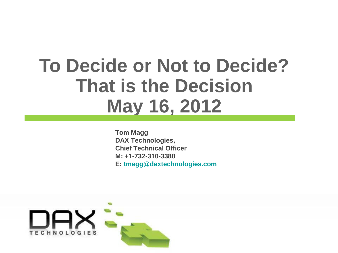# **To Decide or Not to Decide? That is the Decision May 16, 2012**

**Tom Magg DAX Technologies, Chief Technical Officer M: +1-732-310-3388 E: [tmagg@daxtechnologies.com](mailto:tmagg@daxtechnologies.com)**

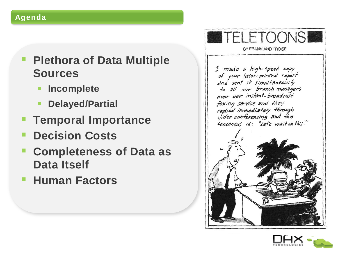#### **Agenda**

### **Plethora of Data Multiple Sources**

- **Incomplete**
- **Partial**
- **Temporal Importance**
- **Decision Costs**
- **Completeness of Data as Data Itself**
- **Human Factors**



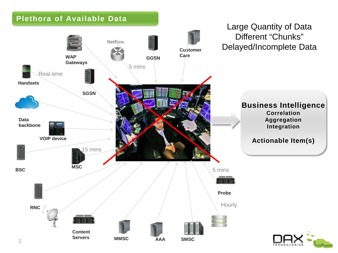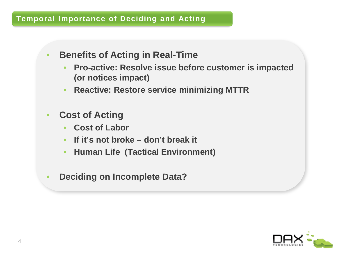#### **Temporal Importance of Deciding and Acting**

- **Benefits of Acting in Real-Time**
	- **Pro-active: Resolve issue before customer is impacted (or notices impact)**
	- **Reactive: Restore service minimizing MTTR**
- **Cost of Acting**
	- **Cost of Labor**
	- **If it's not broke – don't break it**
	- **Human Life (Tactical Environment)**
- **Deciding on Incomplete Data?**

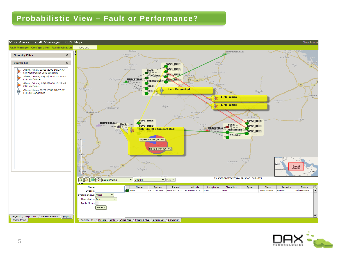#### **Probabilistic View – Fault or Performance?**



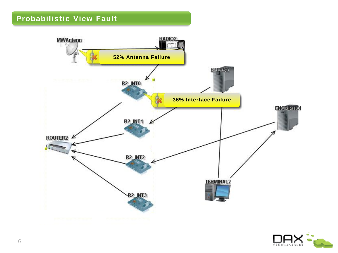

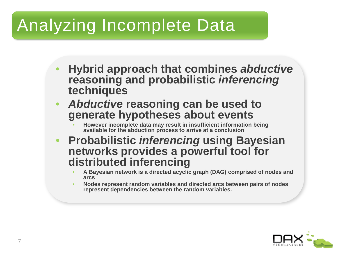## Analyzing Incomplete Data

- **Hybrid approach that combines** *abductive* **reasoning and probabilistic** *inferencing* **techniques**
- *Abductive* **reasoning can be used to generate hypotheses about events**
	- **However incomplete data may result in insufficient information being available for the abduction process to arrive at a conclusion**
- **Probabilistic** *inferencing* **using Bayesian networks provides a powerful tool for distributed inferencing**
	- **A Bayesian network is a directed acyclic graph (DAG) comprised of nodes and arcs**
	- **Nodes represent random variables and directed arcs between pairs of nodes represent dependencies between the random variables.**

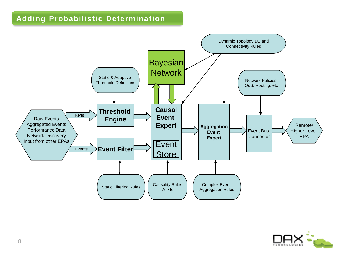#### **Adding Probabilistic Determination**



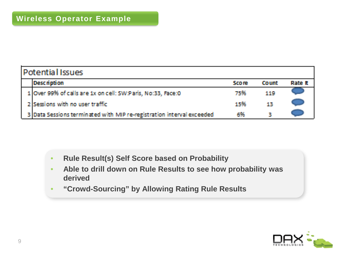| <b>Potential Issues</b> |                                                                       |              |          |                |
|-------------------------|-----------------------------------------------------------------------|--------------|----------|----------------|
|                         | <b>Description</b>                                                    | <b>Score</b> | it kommt | <b>Rate It</b> |
|                         | 1 Over 99% of calls are 1x on cell: SW:Paris, No:33, Face:0           | 75%          | 119      |                |
|                         | 2 Sessions with no user traffic                                       | 15%          | 13.      |                |
|                         | 3 Data Sessions terminated with MIP re-registration interval exceeded | 6%           |          |                |

- **Rule Result(s) Self Score based on Probability**
- **Able to drill down on Rule Results to see how probability was derived**
- **"Crowd-Sourcing" by Allowing Rating Rule Results**

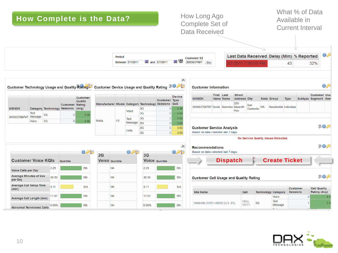